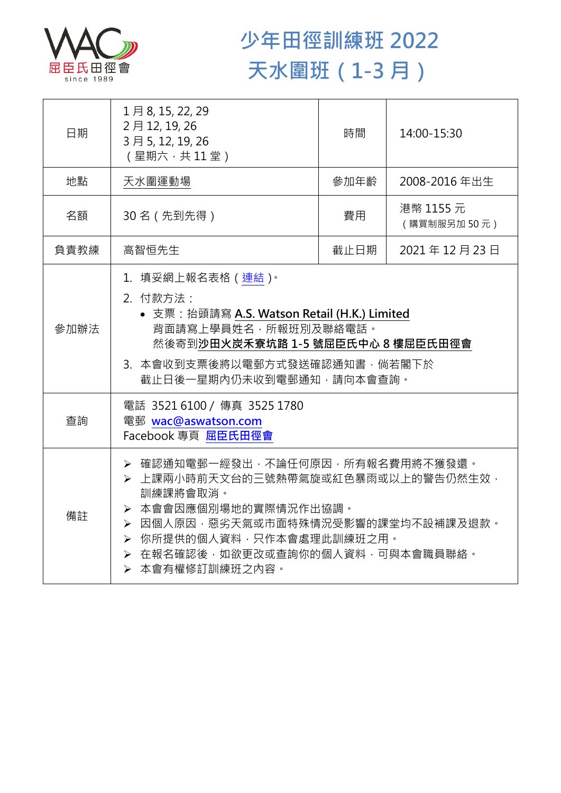

## **少年田徑訓練班 2022 天水圍班(1-3 月)**

| 日期   | 1月8, 15, 22, 29<br>2月12, 19, 26<br>3月5, 12, 19, 26<br>(星期六,共11堂)                                                                                                                                                                      | 時間   | 14:00-15:30              |
|------|---------------------------------------------------------------------------------------------------------------------------------------------------------------------------------------------------------------------------------------|------|--------------------------|
| 地點   | 天水圍運動場                                                                                                                                                                                                                                | 參加年齡 | 2008-2016年出生             |
| 名額   | 30名 (先到先得)                                                                                                                                                                                                                            | 費用   | 港幣 1155 元<br>(購買制服另加50元) |
| 負責教練 | 高智恒先生                                                                                                                                                                                                                                 | 截止日期 | 2021年12月23日              |
| 參加辦法 | 1. 填妥網上報名表格 (連結)。<br>2. 付款方法:<br>• 支票: 抬頭請寫 A.S. Watson Retail (H.K.) Limited<br>背面請寫上學員姓名,所報班別及聯絡電話。<br>然後寄到沙田火炭禾寮坑路 1-5 號屈臣氏中心 8 樓屈臣氏田徑會<br>3. 本會收到支票後將以電郵方式發送確認通知書,倘若閣下於<br>截止日後一星期內仍未收到電郵通知,請向本會查詢。                               |      |                          |
| 查詢   | 電話 3521 6100 / 傳真 3525 1780<br>電郵 wac@aswatson.com<br>Facebook 專頁 屈臣氏田徑會                                                                                                                                                              |      |                          |
| 備註   | ▶ 確認通知電郵一經發出,不論任何原因,所有報名費用將不獲發還。<br>▶ 上課兩小時前天文台的三號熱帶氣旋或紅色暴雨或以上的警告仍然生效,<br>訓練課將會取消。<br>> 本會會因應個別場地的實際情況作出協調。<br>▶ 因個人原因,惡劣天氣或市面特殊情況受影響的課堂均不設補課及退款。<br>▶ 你所提供的個人資料,只作本會處理此訓練班之用。<br>> 在報名確認後,如欲更改或查詢你的個人資料,可與本會職員聯絡。<br>> 本會有權修訂訓練班之內容。 |      |                          |